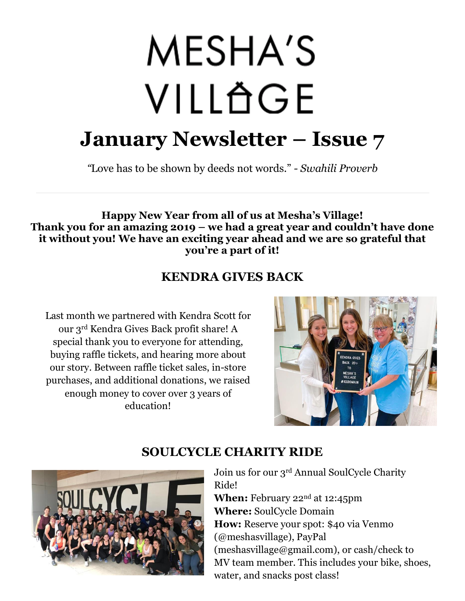# MESHA'S VILLÄGE **January Newsletter – Issue 7**

*"*Love has to be shown by deeds not words." *- Swahili Proverb*

#### **Happy New Year from all of us at Mesha's Village! Thank you for an amazing 2019 – we had a great year and couldn't have done it without you! We have an exciting year ahead and we are so grateful that you're a part of it!**

## **KENDRA GIVES BACK**

Last month we partnered with Kendra Scott for our 3rd Kendra Gives Back profit share! A special thank you to everyone for attending, buying raffle tickets, and hearing more about our story. Between raffle ticket sales, in-store purchases, and additional donations, we raised enough money to cover over 3 years of education!



## **SOULCYCLE CHARITY RIDE**

Join us for our 3rd Annual SoulCycle Charity Ride! **When:** February 22<sup>nd</sup> at 12:45pm **Where:** SoulCycle Domain **How:** Reserve your spot: \$40 via Venmo (@meshasvillage), PayPal (meshasvillage@gmail.com), or cash/check to MV team member. This includes your bike, shoes, water, and snacks post class!